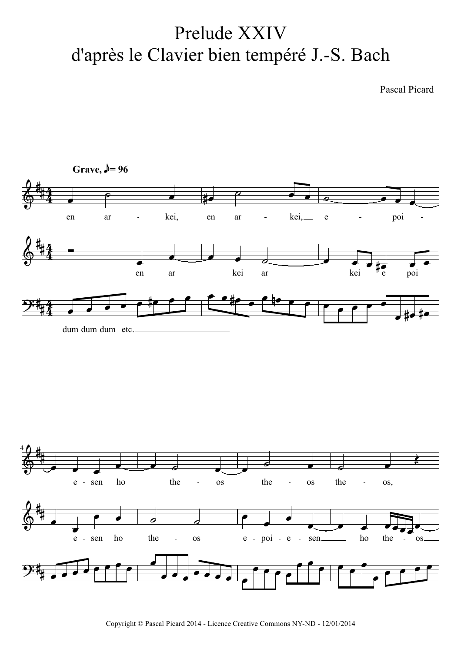## Prelude XXIV d'après le Clavier bien tempéré J.-S. Bach

Pascal Picard





Copyright © Pascal Picard 2014 - Licence Creative Commons NY-ND - 12/01/2014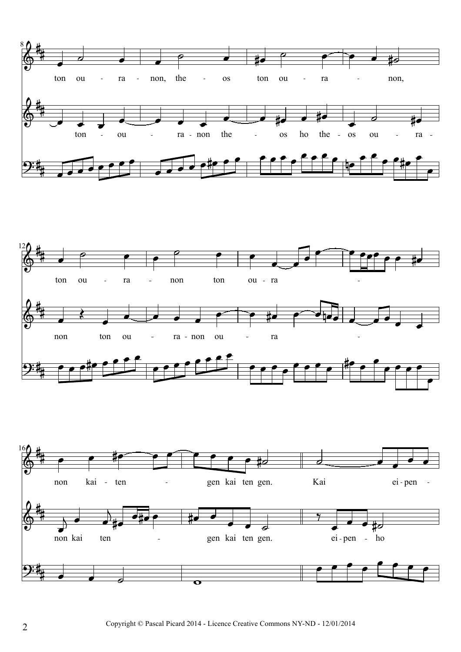



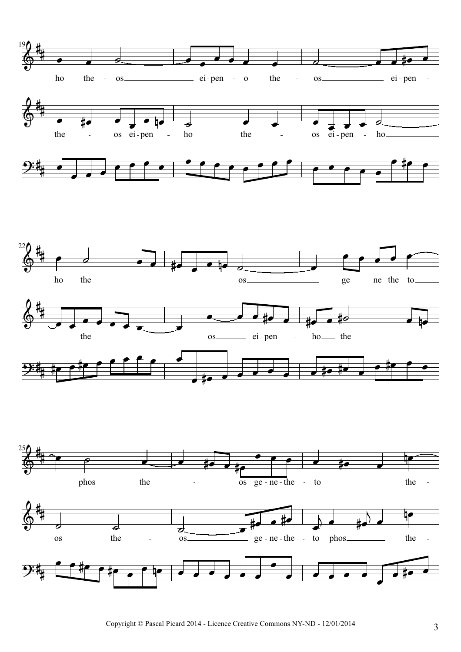



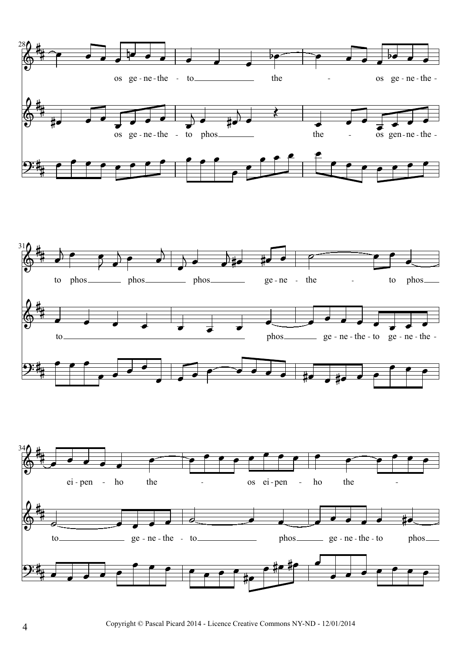



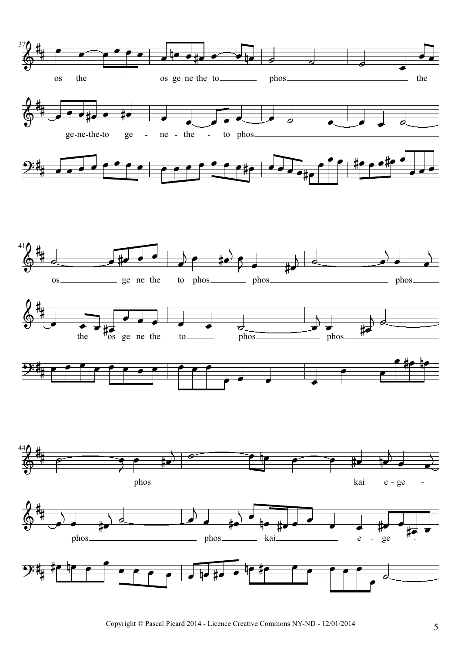